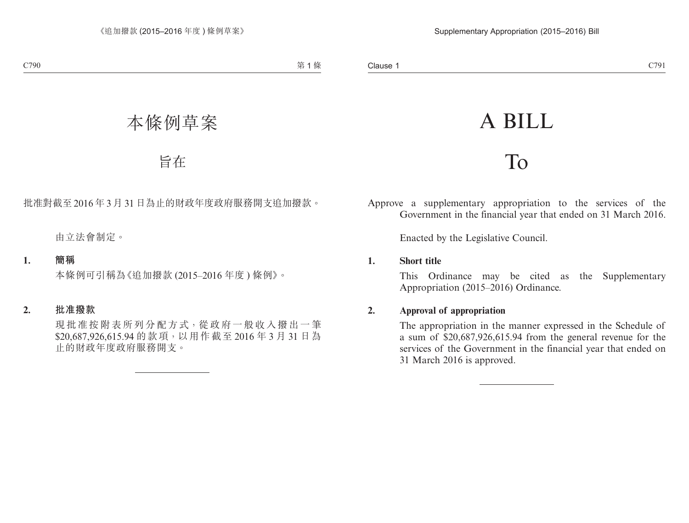# A BILL

## To

Approve a supplementary appropriation to the services of the Government in the financial year that ended on 31 March 2016.

Enacted by the Legislative Council.

#### **1. Short title**

This Ordinance may be cited as the Supplementary Appropriation (2015–2016) Ordinance.

#### **2. Approval of appropriation**

The appropriation in the manner expressed in the Schedule of a sum of \$20,687,926,615.94 from the general revenue for the services of the Government in the financial year that ended on 31 March 2016 is approved.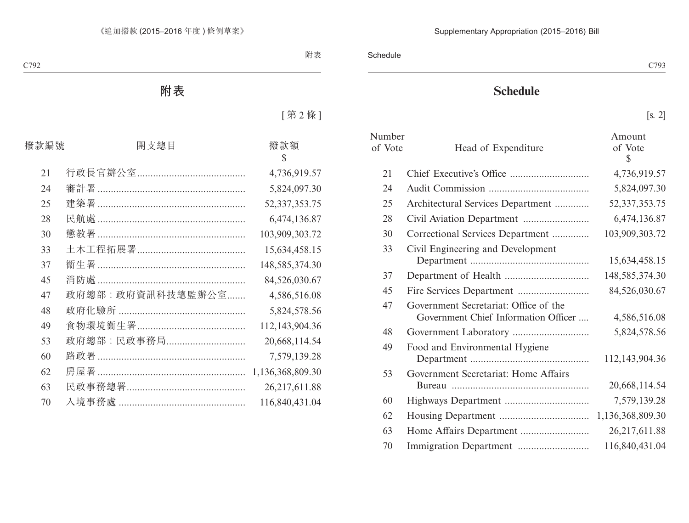### **Schedule**

[s. 2]

| Number<br>of Vote | Head of Expenditure                                                           | Amount<br>of Vote<br>\$ |
|-------------------|-------------------------------------------------------------------------------|-------------------------|
| 21                |                                                                               | 4,736,919.57            |
| 24                |                                                                               | 5,824,097.30            |
| 25                | Architectural Services Department                                             | 52, 337, 353. 75        |
| 28                |                                                                               | 6,474,136.87            |
| 30                | Correctional Services Department                                              | 103,909,303.72          |
| 33                | Civil Engineering and Development                                             | 15,634,458.15           |
| 37                |                                                                               | 148,585,374.30          |
| 45                |                                                                               | 84,526,030.67           |
| 47                | Government Secretariat: Office of the<br>Government Chief Information Officer | 4,586,516.08            |
| 48                |                                                                               | 5,824,578.56            |
| 49                | Food and Environmental Hygiene                                                | 112,143,904.36          |
| 53                | Government Secretariat: Home Affairs                                          | 20,668,114.54           |
| 60                |                                                                               | 7,579,139.28            |
| 62                |                                                                               | 1,136,368,809.30        |
| 63                |                                                                               | 26,217,611.88           |
| 70                |                                                                               | 116,840,431.04          |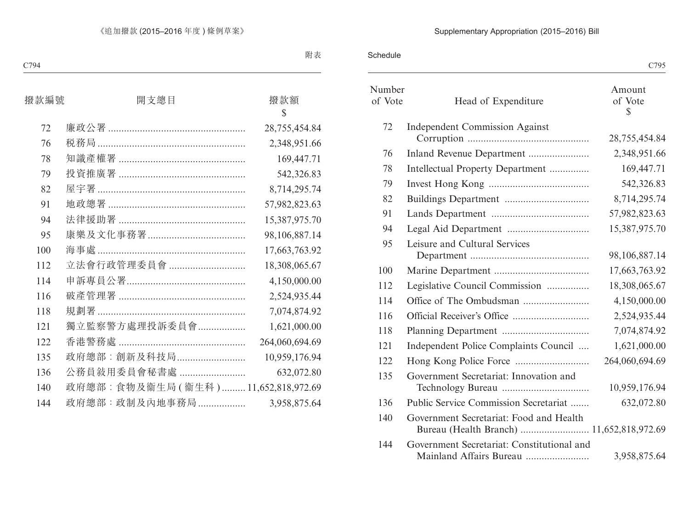#### Supplementary Appropriation (2015–2016) Bill

#### Schedule

|                   |                                            | C795                   |
|-------------------|--------------------------------------------|------------------------|
| Number<br>of Vote | Head of Expenditure                        | Amount<br>of Vote<br>S |
| 72                | <b>Independent Commission Against</b>      | 28,755,454.84          |
| 76                | Inland Revenue Department                  | 2,348,951.66           |
| 78                | Intellectual Property Department           | 169,447.71             |
| 79                |                                            | 542,326.83             |
| 82                |                                            | 8,714,295.74           |
| 91                |                                            | 57,982,823.63          |
| 94                |                                            | 15,387,975.70          |
| 95                | Leisure and Cultural Services              | 98,106,887.14          |
| 100               |                                            | 17,663,763.92          |
| 112               | Legislative Council Commission             | 18,308,065.67          |
| 114               |                                            | 4,150,000.00           |
| 116               |                                            | 2,524,935.44           |
| 118               |                                            | 7,074,874.92           |
| 121               | Independent Police Complaints Council      | 1,621,000.00           |
| 122               |                                            | 264,060,694.69         |
| 135               | Government Secretariat: Innovation and     | 10,959,176.94          |
| 136               | Public Service Commission Secretariat      | 632,072.80             |
| 140               | Government Secretariat: Food and Health    |                        |
| 144               | Government Secretariat: Constitutional and | 3,958,875.64           |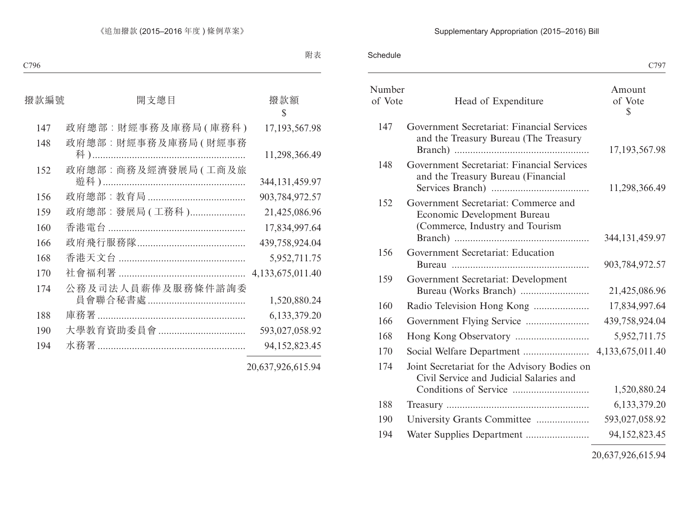#### Supplementary Appropriation (2015–2016) Bill

Schedule

|                   |                                                                                                        | C797                    |
|-------------------|--------------------------------------------------------------------------------------------------------|-------------------------|
| Number<br>of Vote | Head of Expenditure                                                                                    | Amount<br>of Vote<br>\$ |
| 147               | Government Secretariat: Financial Services<br>and the Treasury Bureau (The Treasury                    | 17, 193, 567. 98        |
| 148               | Government Secretariat: Financial Services<br>and the Treasury Bureau (Financial                       | 11,298,366.49           |
| 152               | Government Secretariat: Commerce and<br>Economic Development Bureau<br>(Commerce, Industry and Tourism | 344, 131, 459. 97       |
| 156               | Government Secretariat: Education                                                                      | 903,784,972.57          |
| 159               | Government Secretariat: Development                                                                    | 21,425,086.96           |
| 160               | Radio Television Hong Kong                                                                             | 17,834,997.64           |
| 166               |                                                                                                        | 439,758,924.04          |
| 168               |                                                                                                        | 5,952,711.75            |
| 170               |                                                                                                        |                         |
| 174               | Joint Secretariat for the Advisory Bodies on<br>Civil Service and Judicial Salaries and                | 1,520,880.24            |
| 188               |                                                                                                        | 6,133,379.20            |
| 190               | University Grants Committee                                                                            | 593,027,058.92          |
| 194               |                                                                                                        | 94, 152, 823. 45        |
|                   |                                                                                                        |                         |

20,637,926,615.94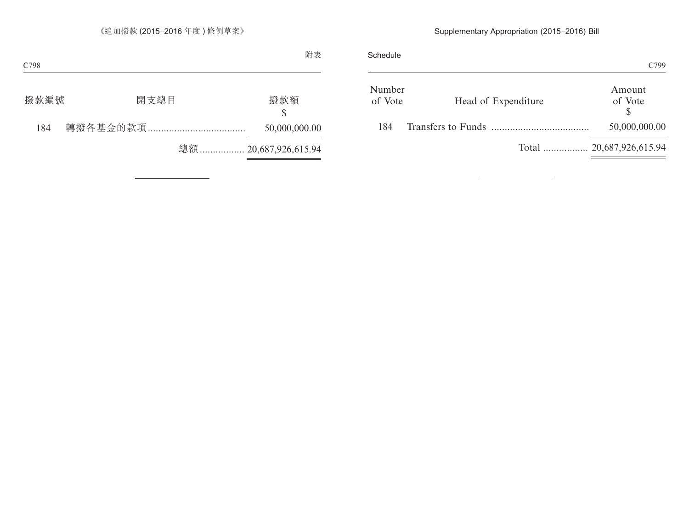#### Supplementary Appropriation (2015–2016) Bill

|                          | Schedule                                 | C799              |
|--------------------------|------------------------------------------|-------------------|
|                          | Number<br>Head of Expenditure<br>of Vote | Amount<br>of Vote |
|                          | Transfers to Funds                       | 50,000,000.00     |
| Total  20,687,926,615.94 |                                          |                   |
|                          |                                          |                   |